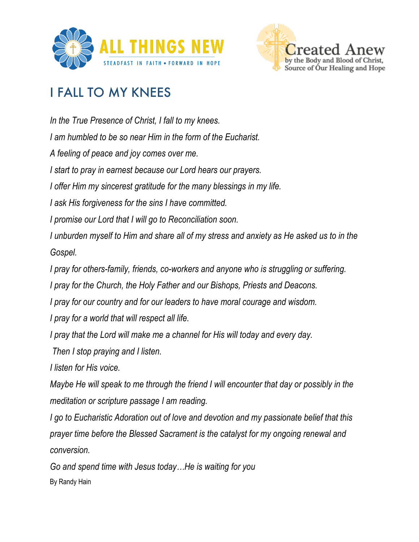



## I FALL TO MY KNEES

*In the True Presence of Christ, I fall to my knees. I am humbled to be so near Him in the form of the Eucharist. A feeling of peace and joy comes over me. I start to pray in earnest because our Lord hears our prayers. I offer Him my sincerest gratitude for the many blessings in my life. I ask His forgiveness for the sins I have committed. I promise our Lord that I will go to Reconciliation soon. I unburden myself to Him and share all of my stress and anxiety as He asked us to in the Gospel. I pray for others-family, friends, co-workers and anyone who is struggling or suffering. I pray for the Church, the Holy Father and our Bishops, Priests and Deacons. I pray for our country and for our leaders to have moral courage and wisdom. I pray for a world that will respect all life. I pray that the Lord will make me a channel for His will today and every day. Then I stop praying and I listen. I listen for His voice. Maybe He will speak to me through the friend I will encounter that day or possibly in the meditation or scripture passage I am reading. I go to Eucharistic Adoration out of love and devotion and my passionate belief that this prayer time before the Blessed Sacrament is the catalyst for my ongoing renewal and conversion. Go and spend time with Jesus today…He is waiting for you*

By Randy Hain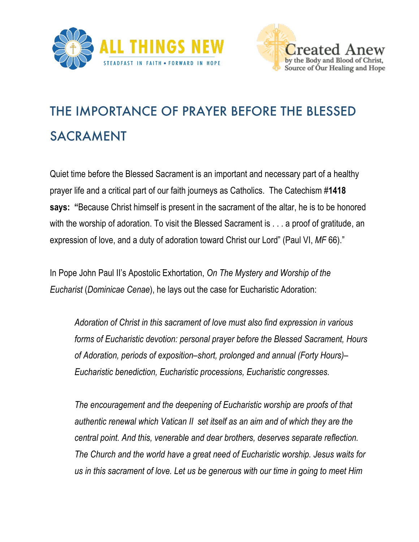



## THE IMPORTANCE OF PRAYER BEFORE THE BLESSED SACRAMENT

Quiet time before the Blessed Sacrament is an important and necessary part of a healthy prayer life and a critical part of our faith journeys as Catholics. The Catechism #**1418 says: "**Because Christ himself is present in the sacrament of the altar, he is to be honored with the worship of adoration. To visit the Blessed Sacrament is . . . a proof of gratitude, an expression of love, and a duty of adoration toward Christ our Lord" (Paul VI, *MF* 66)."

In Pope John Paul II's Apostolic Exhortation, *On The Mystery and Worship of the Eucharist* (*Dominicae Cenae*), he lays out the case for Eucharistic Adoration:

*Adoration of Christ in this sacrament of love must also find expression in various forms of Eucharistic devotion: personal prayer before the Blessed Sacrament, Hours of Adoration, periods of exposition–short, prolonged and annual (Forty Hours)– Eucharistic benediction, Eucharistic processions, Eucharistic congresses.*

*The encouragement and the deepening of Eucharistic worship are proofs of that authentic renewal which Vatican II set itself as an aim and of which they are the central point. And this, venerable and dear brothers, deserves separate reflection. The Church and the world have a great need of Eucharistic worship. Jesus waits for us in this sacrament of love. Let us be generous with our time in going to meet Him*